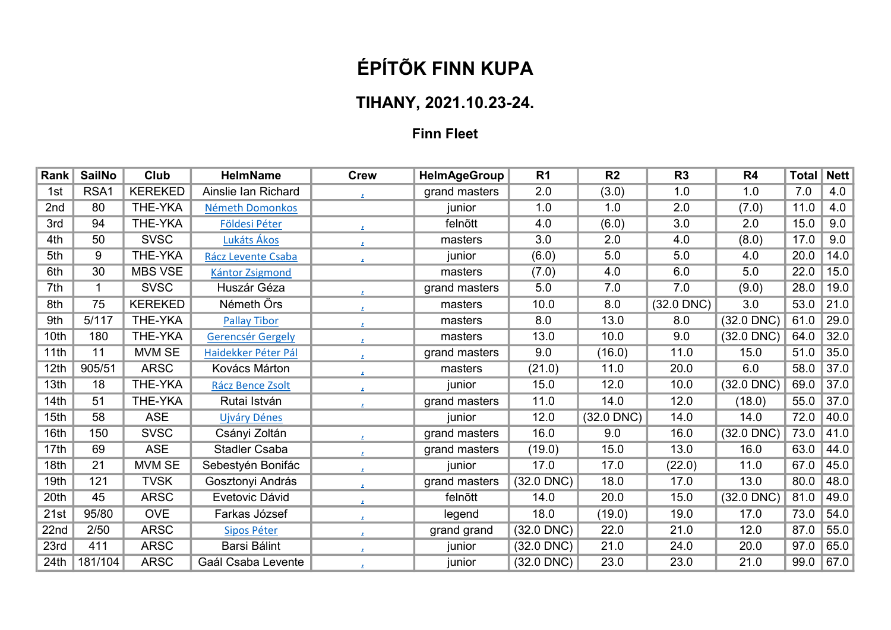## ÉPÍTÕK FINN KUPA

## TIHANY, 2021.10.23-24.

## Finn Fleet

| Rank             | <b>SailNo</b> | Club           | <b>HelmName</b>          | <b>Crew</b>          | <b>HelmAgeGroup</b> | R <sub>1</sub>  | R <sub>2</sub> | R <sub>3</sub>  | R <sub>4</sub>  | <b>Total</b> | <b>Nett</b> |
|------------------|---------------|----------------|--------------------------|----------------------|---------------------|-----------------|----------------|-----------------|-----------------|--------------|-------------|
| 1st              | RSA1          | <b>KEREKED</b> | Ainslie Ian Richard      | $\mathbf{z}$ .       | grand masters       | 2.0             | (3.0)          | 1.0             | 1.0             | 7.0          | 4.0         |
| 2nd              | 80            | <b>THE-YKA</b> | Németh Domonkos          |                      | junior              | 1.0             | 1.0            | 2.0             | (7.0)           | 11.0         | 4.0         |
| 3rd              | 94            | THE-YKA        | Földesi Péter            | $\mathbf{z}$         | felnõtt             | 4.0             | (6.0)          | 3.0             | 2.0             | 15.0         | 9.0         |
| 4th              | 50            | <b>SVSC</b>    | Lukáts Ákos              | $\mathbf{z}_\perp$   | masters             | 3.0             | 2.0            | 4.0             | (8.0)           | 17.0         | 9.0         |
| 5th              | 9             | THE-YKA        | Rácz Levente Csaba       | $\mathbf{z}_\perp$   | junior              | (6.0)           | 5.0            | 5.0             | 4.0             | 20.0         | 14.0        |
| 6th              | 30            | <b>MBS VSE</b> | <b>Kántor Zsigmond</b>   |                      | masters             | (7.0)           | 4.0            | 6.0             | 5.0             | 22.0         | 15.0        |
| 7th              | 1             | <b>SVSC</b>    | Huszár Géza              | $\mathbf{z}$         | grand masters       | 5.0             | 7.0            | 7.0             | (9.0)           | 28.0         | 19.0        |
| 8th              | 75            | <b>KEREKED</b> | Németh Örs               | $\mathbf{z}_i$       | masters             | 10.0            | 8.0            | $(32.0$ DNC $)$ | 3.0             | 53.0         | 21.0        |
| 9th              | 5/117         | THE-YKA        | <b>Pallay Tibor</b>      | $\mathbf{z}$         | masters             | 8.0             | 13.0           | 8.0             | $(32.0$ DNC)    | 61.0         | 29.0        |
| 10th             | 180           | THE-YKA        | <b>Gerencsér Gergely</b> | $\mathbf{z}$ .       | masters             | 13.0            | 10.0           | 9.0             | $(32.0$ DNC)    | 64.0         | 32.0        |
| 11th             | 11            | MVM SE         | Haidekker Péter Pál      | $\mathbf{z}$         | grand masters       | 9.0             | (16.0)         | 11.0            | 15.0            | 51.0         | 35.0        |
| 12 <sub>th</sub> | 905/51        | <b>ARSC</b>    | Kovács Márton            | $\mathbf{z}$         | masters             | (21.0)          | 11.0           | 20.0            | 6.0             | 58.0         | 37.0        |
| 13th             | 18            | THE-YKA        | Rácz Bence Zsolt         | $\mathbf{z}_\perp$   | junior              | 15.0            | 12.0           | 10.0            | $(32.0$ DNC)    | 69.0         | 37.0        |
| 14th             | 51            | THE-YKA        | Rutai István             | $\mathbf{z}$ .       | grand masters       | 11.0            | 14.0           | 12.0            | (18.0)          | 55.0         | 37.0        |
| 15th             | 58            | <b>ASE</b>     | <b>Ujváry Dénes</b>      |                      | junior              | 12.0            | $(32.0$ DNC)   | 14.0            | 14.0            | 72.0         | 40.0        |
| 16th             | 150           | <b>SVSC</b>    | Csányi Zoltán            | $\mathbf{z}$         | grand masters       | 16.0            | 9.0            | 16.0            | $(32.0$ DNC $)$ | 73.0         | 41.0        |
| 17th             | 69            | <b>ASE</b>     | <b>Stadler Csaba</b>     | $\mathbf{z}$         | grand masters       | (19.0)          | 15.0           | 13.0            | 16.0            | 63.0         | 44.0        |
| 18th             | 21            | MVM SE         | Sebestyén Bonifác        | $\mathbf{z}$         | junior              | 17.0            | 17.0           | (22.0)          | 11.0            | 67.0         | 45.0        |
| 19th             | 121           | <b>TVSK</b>    | Gosztonyi András         | $\mathbf{z}$         | grand masters       | $(32.0$ DNC)    | 18.0           | 17.0            | 13.0            | 80.0         | 48.0        |
| 20th             | 45            | <b>ARSC</b>    | Evetovic Dávid           | $\mathbf{L}_{\perp}$ | felnõtt             | 14.0            | 20.0           | 15.0            | $(32.0$ DNC)    | 81.0         | 49.0        |
| 21st             | 95/80         | <b>OVE</b>     | Farkas József            | $\mathbf{z}$         | legend              | 18.0            | (19.0)         | 19.0            | 17.0            | 73.0         | 54.0        |
| 22nd             | 2/50          | <b>ARSC</b>    | Sipos Péter              | $\mathbf{z}$         | grand grand         | $(32.0$ DNC $)$ | 22.0           | 21.0            | 12.0            | 87.0         | 55.0        |
| 23rd             | 411           | <b>ARSC</b>    | Barsi Bálint             | $\mathbf{z}_i$       | junior              | $(32.0$ DNC $)$ | 21.0           | 24.0            | 20.0            | 97.0         | 65.0        |
| 24th             | 181/104       | <b>ARSC</b>    | Gaál Csaba Levente       | $\mathbf{z}$         | junior              | $(32.0$ DNC $)$ | 23.0           | 23.0            | 21.0            | 99.0         | 67.0        |